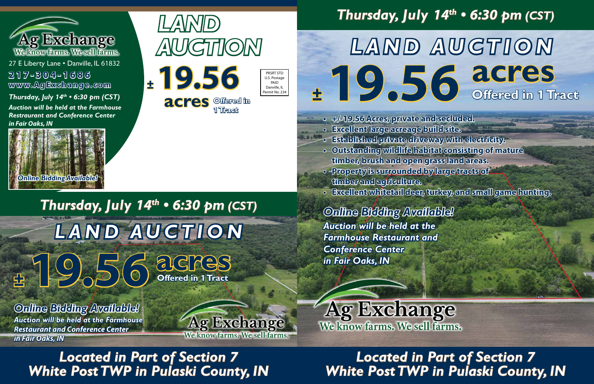**Offered in**

PRSRT STD U.S. Postage PAID Danville, IL ermit No. 234





*Thursday, July 14th • 6:30 pm (CST)*

**acres**

**Offered in 1 Tract**



27 E Liberty Lane . Danville, IL 61832 **www.AgExchange.com 217-304-1686**

*LAND AUCTION*

**<sup>±</sup>19.56**

**1 Tract acres**

*Thursday, July 14th • 6:30 pm (CST) Auction will be held at the Farmhouse Restraurant and Conference Center in Fair Oaks, IN*

# **White Post TWP in Pulaski County, IN** *Located in Part of Section 7 White Post TWP in Pulaski County, IN Located in Part of Section 7*

# *Thursday, July 14th • 6:30 pm (CST)*

# *White Post TWP in Pulaski County, IN Located in Part of Section 7*

**<sup>±</sup>19.56 acres**

# **Offered in 1 Tract** *LAND AUCTION*



*Auction will be held at the Farmhouse Restaurant and Conference Center in Fair Oaks, IN Online Bidding Available!* 

*in Fair Oaks, IN* 



We know farms. We sell farms.

*Auction will be held at the Farmhouse Restaurant and Conference Center Online Bidding Available!* 



**• +/-19.56 Acres, private and secluded. • Excellent large acreage build site. • Established private driveway with electricity. • Outstanding wildlife habitat consisting of mature timber, brush and open grass land areas. • Property is surrounded by large tracts of** 

- 
- 
- 
- **timber and agriculture.**
- **Excellent whitetail deer, turkey, and small game hunting.**